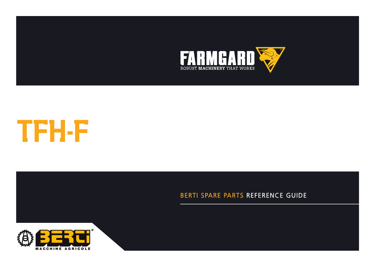



**CATALOGUE DE PIECES DETACHEES**

## BERTI SPARE PARTS REFERENCE GUIDE

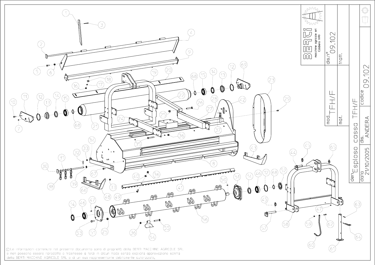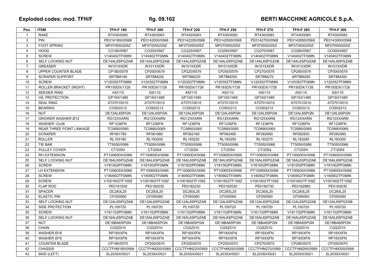## Exploded codes: mod. TFH/F **contract of the fig. 09.102** BERTI MACCHINE AGRICOLE S.p.A.

| Pos.           | <b>ITEM</b>                   | <b>TFH-F 180</b> | <b>TFH-F 200</b> | <b>TFH-F 220</b> | <b>TFH-F 250</b> | <b>TFH-F 270</b> | <b>TFH-F 285</b> | <b>TFH-F 300</b> |
|----------------|-------------------------------|------------------|------------------|------------------|------------------|------------------|------------------|------------------|
| $\mathbf{1}$   | <b>RAKE</b>                   | RT430/0083       | RT430/0083       | RT430/0083       | RT430/0083       | RT430/0083       | RT430/0083       | RT430/0083       |
| 2              | <b>PIN</b>                    | PE0141800/0568   | PE0142000/0568   | PE0142200/0568   | PE0142500/0568   | PE0142700/0568   | PE0142850/0568   | PE0143000/0568   |
| 3              | <b>FOOT SPRING</b>            | MF070550205Z     | MF070550205Z     | MF070550205Z     | MF070550205Z     | MF070550205Z     | MF070550205Z     | MF070550205Z     |
| $\overline{4}$ | <b>HOOD</b>                   | CO180/0567       | CO200/0567       | CO220/0567       | CO250/0567       | CO270/0567       | CO285/0567       | CO300/0567       |
| $\mathbf 5$    | <b>SCREW</b>                  | V140402TF088N    | V140402TF088N    | V140402TF088N    | V140402TF088N    | V140402TF088N    | V140402TF088N    | V140402TF088N    |
| 6              | <b>SELF LOCKING NUT</b>       | DE14AL6SPGZAB    | DE14AL6SPGZAB    | DE14AL6SPGZAB    | DE14AL6SPGZAB    | DE14AL6SPGZAB    | DE14AL6SPGZAB    | DE14AL6SPGZAB    |
| $\overline{7}$ | <b>GREASER</b>                | IN101XXDR        | IN101XXDR        | IN101XXDR        | IN101XXDR        | IN101XXDR        | IN101XXDR        | IN101XXDR        |
| 8              | UPPER COUNTER BLADE           | CP180/0579       | CP200/0579       | CP220/0579       | CP250/0579       | CP270/0579       | CP285/0579       | CP300/0579       |
| 9              | <b>SCRAPER SUPPORT</b>        | SRTBM180         | SRTBM200         | SRTBM220         | SRTBM250         | SRTBM270         | SRTBM285         | SRTBM300         |
| 10             | <b>SCREW</b>                  | V120352TF088N    | V120352TF088N    | V120352TF088N    | V120352TF088N    | V120352TF088N    | V120352TF088N    | V120352TF088N    |
| 11             | <b>ROLLER BRACKET (RIGHT)</b> | PR193DX/1726     | PR193DX/1726     | PR193DX/1726     | PR193DX/1726     | PR193DX/1726     | PR193DX/1726     | PR193DX/1726     |
| 12             | <b>SEEGER RING</b>            | ASI110           | ASI110           | ASI110           | ASI110           | ASI110           | ASI110           | ASI110           |
| 13             | OIL PROTECTION                | GP193/1485       | GP193/1485       | GP193/1485       | GP193/1485       | GP193/1485       | GP193/1485       | GP193/1485       |
| 14             | <b>SEAL RING</b>              | AT07010010       | AT07010010       | AT07010010       | AT07010010       | AT07010010       | AT07010010       | AT07010010       |
| 15             | <b>BEARING</b>                | COS02212         | COS02212         | COS02212         | COS02212         | COS02212         | COS02212         | COS02212         |
| 16             | <b>NUT</b>                    | DE12AL6SPGN      | DE12AL6SPGN      | DE12AL6SPGN      | DE12AL6SPGN      | DE12AL6SPGN      | DE12AL6SPGN      | DE12AL6SPGN      |
| 17             | GROWER WASHER Ø12             | RG12XXARN        | RG12XXARN        | RG12XXARN        | RG12XXARN        | RG12XXARN        | RG12XXARN        | RG12XXARN        |
| 18             | WASHER 12x36                  | <b>RF1236FN</b>  | <b>RF1236FN</b>  | <b>RF1236FN</b>  | <b>RF1236FN</b>  | <b>RF1236FN</b>  | <b>RF1236FN</b>  | <b>RF1236FN</b>  |
| 19             | REAR THREE POINT LINKAGE      | TC0890/0065      | TC0890/0065      | TC0890/0065      | TC0890/0065      | TC0890/0065      | TC0890/0065      | TC0890/0065      |
| 20             | <b>SCRAPER</b>                | RF061780         | RF061980         | RF062180         | RF062480         | RF062680         | RF062830         | RF062980         |
| 21             | <b>ROLLER</b>                 | RL193180         | RL193200         | RL193220         | RL193250         | RL193270         | RL193285         | RL193300         |
| 22             | TIE BAR                       | TT5050/0066      | TT5050/0066      | TT5050/0066      | TT5050/0066      | TT5050/0066      | TT5050/0066      | TT5050/0066      |
| 23             | PULLEY COVER                  | CT/2054          | CT/2054          | CT/2054          | CT/2054          | CT/2054          | CT/2054          | CT/2054          |
| 24             | <b>RH EXTENSION</b>           | PT10060DX/0066   | PT10060DX/0066   | PT10060DX/0066   | PT10060DX/0066   | PT10060DX/0066   | PT10060DX/0066   | PT10060DX/0066   |
| 25             | <b>SELF LOCKING NUT</b>       | DE18AL6SPGZAB    | DE18AL6SPGZAB    | DE18AL6SPGZAB    | DE18AL6SPGZAB    | DE18AL6SPGZAB    | DE18AL6SPGZAB    | DE18AL6SPGZAB    |
| 26             | <b>SCREW</b>                  | V181002PF088N    | V181002PF088N    | V181002PF088N    | V181002PF088N    | V181002PF088N    | V181002PF088N    | V181002PF088N    |
| 27             | LH EXTENSION                  | PT10060SX/0066   | PT10060SX/0066   | PT10060SX/0066   | PT10060SX/0066   | PT10060SX/0066   | PT10060SX/0066   | PT10060SX/0066   |
| 28             | <b>SCREW</b>                  | V180902TF088N    | V180902TF088N    | V180902TF088N    | V180902TF088N    | V180902TF088N    | V180902TF088N    | V180902TF088N    |
| 29             | <b>SCREW</b>                  | V1001602TF109Z   | V1001602TF109Z   | V1001602TF109Z   | V1001602TF109Z   | V1001602TF109Z   | V1001602TF109Z   | V1001602TF109Z   |
| 30             | <b>FLAP ROD</b>               | PE0181830        | PE0182030        | PE0182230        | PE0182530        | PE0182730        | PE0182880        | PE0183030        |
| 31             | <b>SPACER</b>                 | DC283L25         | DC283L25         | DC283L25         | DC283L25         | DC283L25         | DC283L25         | DC283L25         |
| 32             | <b>ELASTIC PIN</b>            | CF050060         | CF050060         | CF050060         | CF050060         | CF050060         | CF050060         | CF050060         |
| 33             | SELF LOCKING NUT              | DE12AL6SPGZAB    | DE12AL6SPGZAB    | DE12AL6SPGZAB    | DE12AL6SPGZAB    | DE12AL6SPGZAB    | DE12AL6SPGZAB    | DE12AL6SPGZAB    |
| 34             | SIDE PROTECTION               | PL100720         | PL100720         | PL100720         | PL100720         | PL100720         | PL100720         | PL100720         |
| 35             | <b>SCREW</b>                  | V161102PF088N    | V161102PF088N    | V161102PF088N    | V161102PF088N    | V161102PF088N    | V161102PF088N    | V161102PF088N    |
| 36             | SELF LOCKING NUT              | DE16AL6SPGZAB    | DE16AL6SPGZAB    | DE16AL6SPGZAB    | DE16AL6SPGZAB    | DE16AL6SPGZAB    | DE16AL6SPGZAB    | DE16AL6SPGZAB    |
| 37             | <b>NUT</b>                    | DE18BA6SPGN      | DE18BA6SPGN      | DE18BA6SPGN      | DE18BA6SPGN      | DE18BA6SPGN      | DE18BA6SPGN      | DE18BA6SPGN      |
| 38             | <b>CHAIN</b>                  | CGSZ010          | CGSZ010          | CGSZ010          | CGSZ010          | CGSZ010          | CGSZ010          | CGSZ010          |
| 39             | WASHER Ø18                    | RP18XXFN         | RP18XXFN         | RP18XXFN         | RP18XXFN         | RP18XXFN         | RP18XXFN         | RP18XXFN         |
| 40             | WASHER Ø16                    | RP16XXFN         | RP16XXFN         | RP16XXFN         | RP16XXFN         | RP16XXFN         | RP16XXFN         | RP16XXFN         |
| 41             | <b>COUNTER BLADE</b>          | CP180/0570       | CP200/0570       | CP220/0570       | CP250/0570       | CP270/0570       | CP285/0570       | CP300/0570       |
| 42             | <b>CHASSIS</b>                | CCCTFHM180/0569  | CCCTFHM200/0569  | CCCTFHM220/0569  | CCCTFHM250/0569  | CCCTFHM270/0569  | CCCTFHM285/0569  | CCCTFHM300/0569  |
| 43             | SKID (LEFT)                   | SL203SX/0021     | SL203SX/0021     | SL203SX/0021     | SL203SX/0021     | SL203SX/0021     | SL203SX/0021     | SL203SX/0021     |